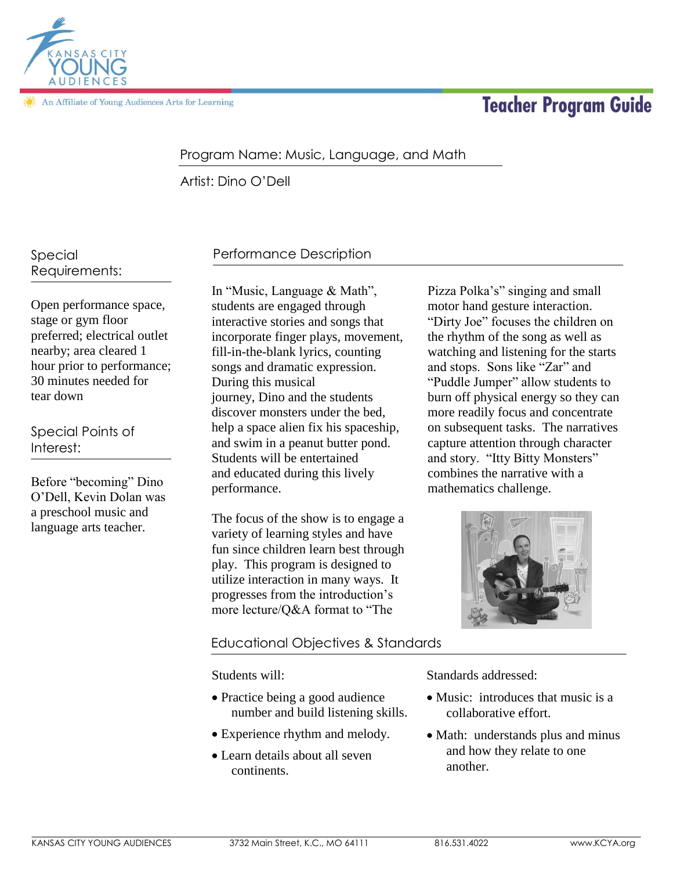

An Affiliate of Young Audiences Arts for Learning

# **Teacher Program Guide**

### Program Name: Music, Language, and Math

Artist: Dino O'Dell

Special Requirements:

Open performance space, stage or gym floor preferred; electrical outlet nearby; area cleared 1 hour prior to performance; 30 minutes needed for tear down

Special Points of Interest:

Before "becoming" Dino O'Dell, Kevin Dolan was a preschool music and language arts teacher.

# Performance Description

In "Music, Language & Math", students are engaged through interactive stories and songs that incorporate finger plays, movement, fill-in-the-blank lyrics, counting songs and dramatic expression. During this musical journey, Dino and the students discover monsters under the bed, help a space alien fix his spaceship, and swim in a peanut butter pond. Students will be entertained and educated during this lively performance.

The focus of the show is to engage a variety of learning styles and have fun since children learn best through play. This program is designed to utilize interaction in many ways. It progresses from the introduction's more lecture/Q&A format to "The

### Educational Objectives & Standards

Students will:

- Practice being a good audience number and build listening skills.
- Experience rhythm and melody.
- Learn details about all seven continents.

Pizza Polka's" singing and small motor hand gesture interaction. "Dirty Joe" focuses the children on the rhythm of the song as well as watching and listening for the starts and stops. Sons like "Zar" and "Puddle Jumper" allow students to burn off physical energy so they can more readily focus and concentrate on subsequent tasks. The narratives capture attention through character and story. "Itty Bitty Monsters" combines the narrative with a mathematics challenge.



Standards addressed:

- Music: introduces that music is a collaborative effort.
- Math: understands plus and minus and how they relate to one another.